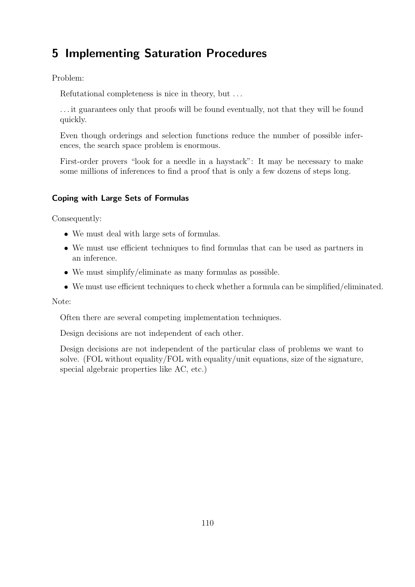# 5 Implementing Saturation Procedures

Problem:

Refutational completeness is nice in theory, but . . .

. . . it guarantees only that proofs will be found eventually, not that they will be found quickly.

Even though orderings and selection functions reduce the number of possible inferences, the search space problem is enormous.

First-order provers "look for a needle in a haystack": It may be necessary to make some millions of inferences to find a proof that is only a few dozens of steps long.

## Coping with Large Sets of Formulas

Consequently:

- We must deal with large sets of formulas.
- We must use efficient techniques to find formulas that can be used as partners in an inference.
- We must simplify/eliminate as many formulas as possible.
- We must use efficient techniques to check whether a formula can be simplified/eliminated.

Note:

Often there are several competing implementation techniques.

Design decisions are not independent of each other.

Design decisions are not independent of the particular class of problems we want to solve. (FOL without equality/FOL with equality/unit equations, size of the signature, special algebraic properties like AC, etc.)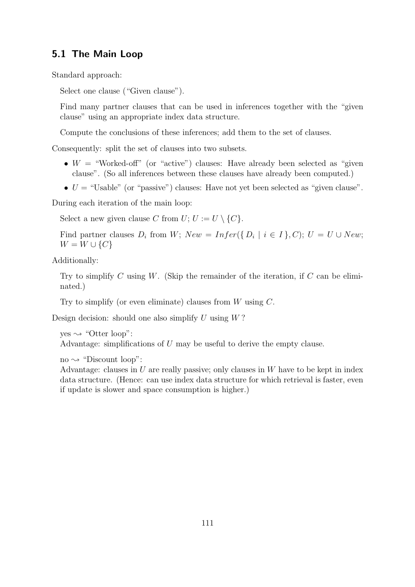## 5.1 The Main Loop

Standard approach:

Select one clause ("Given clause").

Find many partner clauses that can be used in inferences together with the "given clause" using an appropriate index data structure.

Compute the conclusions of these inferences; add them to the set of clauses.

Consequently: split the set of clauses into two subsets.

- $W =$  "Worked-off" (or "active") clauses: Have already been selected as "given" clause". (So all inferences between these clauses have already been computed.)
- $U =$  "Usable" (or "passive") clauses: Have not yet been selected as "given clause".

During each iteration of the main loop:

Select a new given clause C from  $U: U := U \setminus \{C\}.$ 

Find partner clauses  $D_i$  from W;  $New = Infer({D_i | i \in I}, C); U = U \cup New;$  $W = W \cup \{C\}$ 

Additionally:

Try to simplify C using W. (Skip the remainder of the iteration, if C can be eliminated.)

Try to simplify (or even eliminate) clauses from  $W$  using  $C$ .

Design decision: should one also simplify  $U$  using  $W$ ?

 $yes \rightsquigarrow$  "Otter loop": Advantage: simplifications of U may be useful to derive the empty clause.

no  $\rightsquigarrow$  "Discount loop":

Advantage: clauses in  $U$  are really passive; only clauses in  $W$  have to be kept in index data structure. (Hence: can use index data structure for which retrieval is faster, even if update is slower and space consumption is higher.)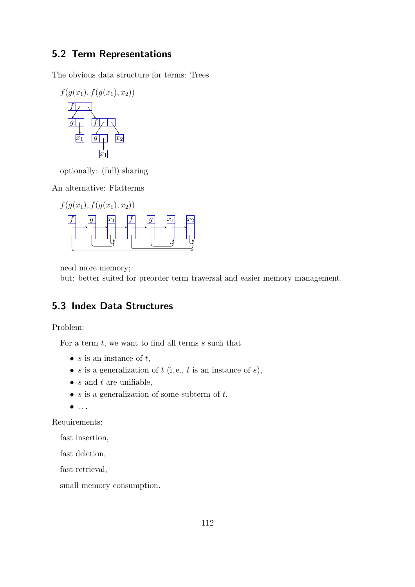# 5.2 Term Representations

The obvious data structure for terms: Trees

$$
f(g(x_1), f(g(x_1), x_2))
$$
\n
$$
f \downarrow \qquad \qquad
$$
\n
$$
g \downarrow \qquad \qquad f \downarrow \qquad \qquad
$$
\n
$$
x_1 \qquad g \downarrow \qquad x_2
$$

optionally: (full) sharing

An alternative: Flatterms



need more memory;

but: better suited for preorder term traversal and easier memory management.

# 5.3 Index Data Structures

Problem:

For a term  $t$ , we want to find all terms  $s$  such that

- $s$  is an instance of  $t$ ,
- s is a generalization of  $t$  (i.e.,  $t$  is an instance of  $s$ ),
- $s$  and  $t$  are unifiable,
- $s$  is a generalization of some subterm of  $t$ ,
- $\bullet$  ...

Requirements:

fast insertion,

fast deletion,

fast retrieval,

small memory consumption.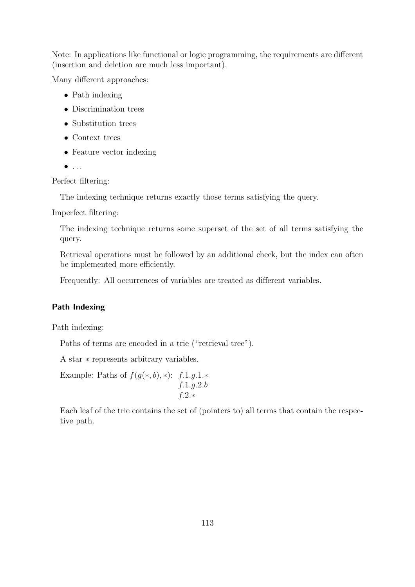Note: In applications like functional or logic programming, the requirements are different (insertion and deletion are much less important).

Many different approaches:

- Path indexing
- Discrimination trees
- Substitution trees
- Context trees
- Feature vector indexing
- $\bullet$  ...

Perfect filtering:

The indexing technique returns exactly those terms satisfying the query.

Imperfect filtering:

The indexing technique returns some superset of the set of all terms satisfying the query.

Retrieval operations must be followed by an additional check, but the index can often be implemented more efficiently.

Frequently: All occurrences of variables are treated as different variables.

## Path Indexing

Path indexing:

Paths of terms are encoded in a trie ("retrieval tree").

A star ∗ represents arbitrary variables.

Example: Paths of  $f(g(*, b), *)$ : f.1.g.1.\* f.1.g.2.b f.2.∗

Each leaf of the trie contains the set of (pointers to) all terms that contain the respective path.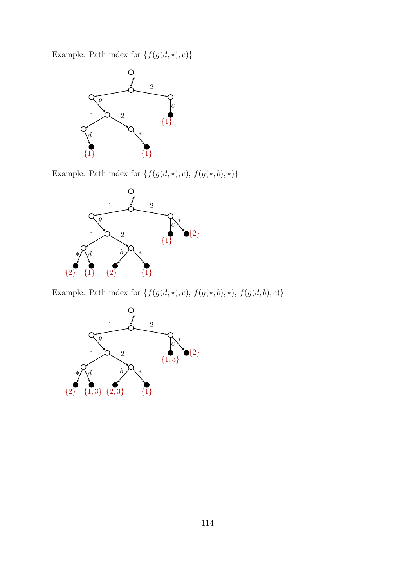Example: Path index for  $\{f(g(d, *), c)\}$ 



Example: Path index for  $\{f(g(d, *), c),$   $f(g(*, b), *)\}$ 



Example: Path index for  $\{f(g(d, *), c),$   $f(g(*, b), *) ,$   $f(g(d, b), c)\}$ 

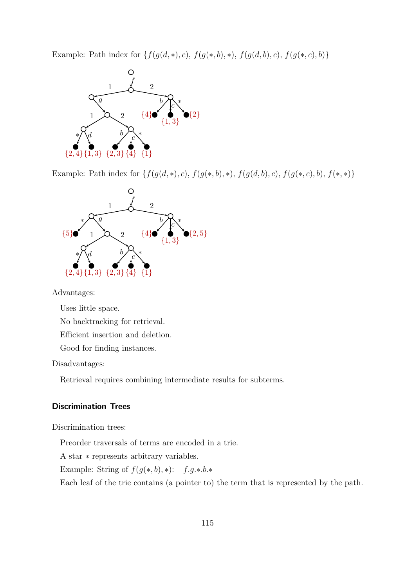Example: Path index for  $\{f(g(d, *), c), f(g(*, b), *), f(g(d, b), c), f(g(*, c), b)\}$ 



Example: Path index for  $\{f(g(d, *), c), f(g(*, b), *), f(g(d, b), c), f(g(*, c), b), f(*, *)\}$ 



Advantages:

Uses little space.

No backtracking for retrieval.

Efficient insertion and deletion.

Good for finding instances.

Disadvantages:

Retrieval requires combining intermediate results for subterms.

#### Discrimination Trees

Discrimination trees:

Preorder traversals of terms are encoded in a trie.

A star ∗ represents arbitrary variables.

Example: String of  $f(g(*, b), *)$ : f.g.\*.b.\*

Each leaf of the trie contains (a pointer to) the term that is represented by the path.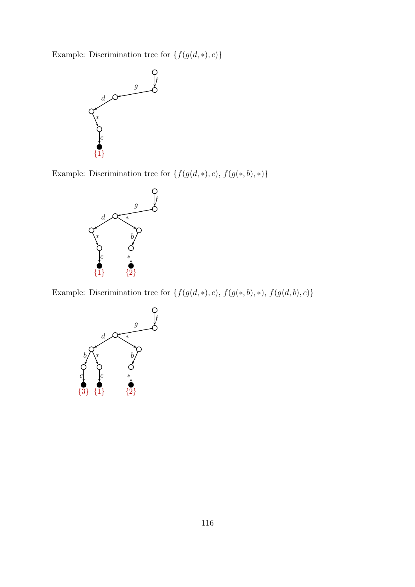Example: Discrimination tree for  $\{f(g(d, *), c)\}$ 



Example: Discrimination tree for  $\{f(g(d, *), c),$   $f(g(*, b), *)\}$ 



Example: Discrimination tree for  $\{f(g(d, *), c),$   $f(g(*, b), *) ,$   $f(g(d, b), c)\}$ 

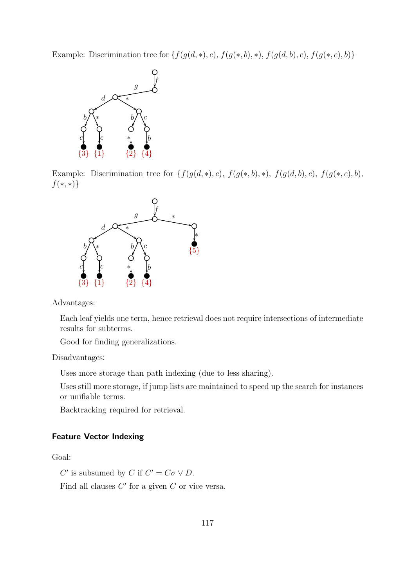Example: Discrimination tree for  $\{f(g(d, *), c), f(g(*, b), *), f(g(d, b), c), f(g(*, c), b)\}$ 



Example: Discrimination tree for  $\{f(g(d, *), c), f(g(*, b), *), f(g(d, b), c), f(g(*, c), b),\}$  $f(*, *)$ 



Advantages:

Each leaf yields one term, hence retrieval does not require intersections of intermediate results for subterms.

Good for finding generalizations.

#### Disadvantages:

Uses more storage than path indexing (due to less sharing).

Uses still more storage, if jump lists are maintained to speed up the search for instances or unifiable terms.

Backtracking required for retrieval.

#### Feature Vector Indexing

## Goal:

C' is subsumed by C if  $C' = C\sigma \vee D$ .

Find all clauses  $C'$  for a given  $C$  or vice versa.